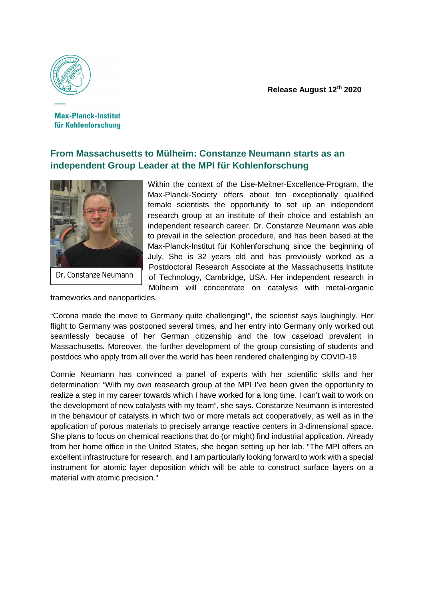

**Max-Planck-Institut** für Kohlenforschung

## **From Massachusetts to Mülheim: Constanze Neumann starts as an independent Group Leader at the MPI für Kohlenforschung**



Dr. Constanze Neumann

Within the context of the Lise-Meitner-Excellence-Program, the Max-Planck-Society offers about ten exceptionally qualified female scientists the opportunity to set up an independent research group at an institute of their choice and establish an independent research career. Dr. Constanze Neumann was able to prevail in the selection procedure, and has been based at the Max-Planck-Institut für Kohlenforschung since the beginning of July. She is 32 years old and has previously worked as a Postdoctoral Research Associate at the Massachusetts Institute of Technology, Cambridge, USA. Her independent research in Mülheim will concentrate on catalysis with metal-organic

frameworks and nanoparticles.

"Corona made the move to Germany quite challenging!", the scientist says laughingly. Her flight to Germany was postponed several times, and her entry into Germany only worked out seamlessly because of her German citizenship and the low caseload prevalent in Massachusetts. Moreover, the further development of the group consisting of students and postdocs who apply from all over the world has been rendered challenging by COVID-19.

Connie Neumann has convinced a panel of experts with her scientific skills and her determination: "With my own reasearch group at the MPI I've been given the opportunity to realize a step in my career towards which I have worked for a long time. I can't wait to work on the development of new catalysts with my team", she says. Constanze Neumann is interested in the behaviour of catalysts in which two or more metals act cooperatively, as well as in the application of porous materials to precisely arrange reactive centers in 3-dimensional space. She plans to focus on chemical reactions that do (or might) find industrial application. Already from her home office in the United States, she began setting up her lab. "The MPI offers an excellent infrastructure for research, and I am particularly looking forward to work with a special instrument for atomic layer deposition which will be able to construct surface layers on a material with atomic precision."